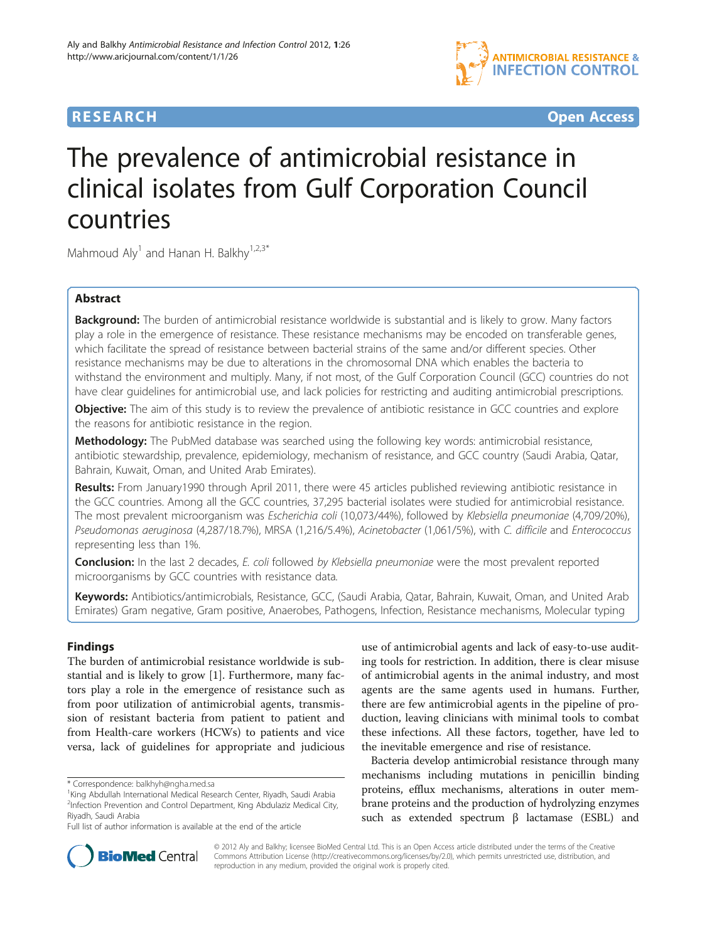

## **RESEARCH CHE Open Access**

# The prevalence of antimicrobial resistance in clinical isolates from Gulf Corporation Council countries

Mahmoud  $\text{Aly}^1$  and Hanan H. Balkhy<sup>1,2,3\*</sup>

## Abstract

Background: The burden of antimicrobial resistance worldwide is substantial and is likely to grow. Many factors play a role in the emergence of resistance. These resistance mechanisms may be encoded on transferable genes, which facilitate the spread of resistance between bacterial strains of the same and/or different species. Other resistance mechanisms may be due to alterations in the chromosomal DNA which enables the bacteria to withstand the environment and multiply. Many, if not most, of the Gulf Corporation Council (GCC) countries do not have clear guidelines for antimicrobial use, and lack policies for restricting and auditing antimicrobial prescriptions.

**Objective:** The aim of this study is to review the prevalence of antibiotic resistance in GCC countries and explore the reasons for antibiotic resistance in the region.

Methodology: The PubMed database was searched using the following key words: antimicrobial resistance, antibiotic stewardship, prevalence, epidemiology, mechanism of resistance, and GCC country (Saudi Arabia, Qatar, Bahrain, Kuwait, Oman, and United Arab Emirates).

Results: From January1990 through April 2011, there were 45 articles published reviewing antibiotic resistance in the GCC countries. Among all the GCC countries, 37,295 bacterial isolates were studied for antimicrobial resistance. The most prevalent microorganism was Escherichia coli (10,073/44%), followed by Klebsiella pneumoniae (4,709/20%), Pseudomonas aeruginosa (4,287/18.7%), MRSA (1,216/5.4%), Acinetobacter (1,061/5%), with C. difficile and Enterococcus representing less than 1%.

**Conclusion:** In the last 2 decades, E. coli followed by Klebsiella pneumoniae were the most prevalent reported microorganisms by GCC countries with resistance data.

Keywords: Antibiotics/antimicrobials, Resistance, GCC, (Saudi Arabia, Qatar, Bahrain, Kuwait, Oman, and United Arab Emirates) Gram negative, Gram positive, Anaerobes, Pathogens, Infection, Resistance mechanisms, Molecular typing

## **Findings**

The burden of antimicrobial resistance worldwide is substantial and is likely to grow [\[1](#page-3-0)]. Furthermore, many factors play a role in the emergence of resistance such as from poor utilization of antimicrobial agents, transmission of resistant bacteria from patient to patient and from Health-care workers (HCWs) to patients and vice versa, lack of guidelines for appropriate and judicious

use of antimicrobial agents and lack of easy-to-use auditing tools for restriction. In addition, there is clear misuse of antimicrobial agents in the animal industry, and most agents are the same agents used in humans. Further, there are few antimicrobial agents in the pipeline of production, leaving clinicians with minimal tools to combat these infections. All these factors, together, have led to the inevitable emergence and rise of resistance.

Bacteria develop antimicrobial resistance through many mechanisms including mutations in penicillin binding proteins, efflux mechanisms, alterations in outer membrane proteins and the production of hydrolyzing enzymes such as extended spectrum  $β$  lactamase (ESBL) and



© 2012 Aly and Balkhy; licensee BioMed Central Ltd. This is an Open Access article distributed under the terms of the Creative Commons Attribution License [\(http://creativecommons.org/licenses/by/2.0\)](http://creativecommons.org/licenses/by/2.0), which permits unrestricted use, distribution, and reproduction in any medium, provided the original work is properly cited.

<sup>\*</sup> Correspondence: [balkhyh@ngha.med.sa](mailto:balkhyh@ngha.med.sa) <sup>1</sup>

<sup>&</sup>lt;sup>1</sup>King Abdullah International Medical Research Center, Riyadh, Saudi Arabia <sup>2</sup>Infection Prevention and Control Department, King Abdulaziz Medical City, Riyadh, Saudi Arabia

Full list of author information is available at the end of the article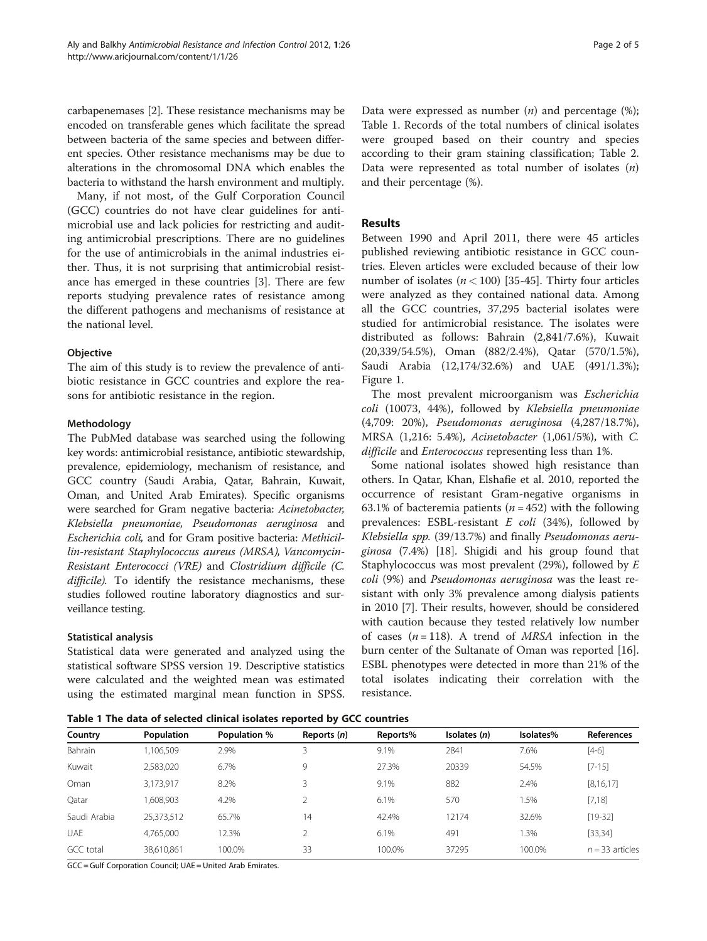carbapenemases [\[2](#page-3-0)]. These resistance mechanisms may be encoded on transferable genes which facilitate the spread between bacteria of the same species and between different species. Other resistance mechanisms may be due to alterations in the chromosomal DNA which enables the bacteria to withstand the harsh environment and multiply.

Many, if not most, of the Gulf Corporation Council (GCC) countries do not have clear guidelines for antimicrobial use and lack policies for restricting and auditing antimicrobial prescriptions. There are no guidelines for the use of antimicrobials in the animal industries either. Thus, it is not surprising that antimicrobial resistance has emerged in these countries [[3\]](#page-3-0). There are few reports studying prevalence rates of resistance among the different pathogens and mechanisms of resistance at the national level.

## **Objective**

The aim of this study is to review the prevalence of antibiotic resistance in GCC countries and explore the reasons for antibiotic resistance in the region.

#### Methodology

The PubMed database was searched using the following key words: antimicrobial resistance, antibiotic stewardship, prevalence, epidemiology, mechanism of resistance, and GCC country (Saudi Arabia, Qatar, Bahrain, Kuwait, Oman, and United Arab Emirates). Specific organisms were searched for Gram negative bacteria: Acinetobacter, Klebsiella pneumoniae, Pseudomonas aeruginosa and Escherichia coli, and for Gram positive bacteria: Methicillin-resistant Staphylococcus aureus (MRSA), Vancomycin-Resistant Enterococci (VRE) and Clostridium difficile (C. difficile). To identify the resistance mechanisms, these studies followed routine laboratory diagnostics and surveillance testing.

#### Statistical analysis

Statistical data were generated and analyzed using the statistical software SPSS version 19. Descriptive statistics were calculated and the weighted mean was estimated using the estimated marginal mean function in SPSS.

Data were expressed as number  $(n)$  and percentage  $(\%)$ ; Table 1. Records of the total numbers of clinical isolates were grouped based on their country and species according to their gram staining classification; Table [2](#page-2-0). Data were represented as total number of isolates  $(n)$ and their percentage (%).

### Results

Between 1990 and April 2011, there were 45 articles published reviewing antibiotic resistance in GCC countries. Eleven articles were excluded because of their low number of isolates ( $n < 100$ ) [\[35](#page-4-0)-[45\]](#page-4-0). Thirty four articles were analyzed as they contained national data. Among all the GCC countries, 37,295 bacterial isolates were studied for antimicrobial resistance. The isolates were distributed as follows: Bahrain (2,841/7.6%), Kuwait (20,339/54.5%), Oman (882/2.4%), Qatar (570/1.5%), Saudi Arabia (12,174/32.6%) and UAE (491/1.3%); Figure [1](#page-2-0).

The most prevalent microorganism was Escherichia coli (10073, 44%), followed by Klebsiella pneumoniae (4,709: 20%), Pseudomonas aeruginosa (4,287/18.7%), MRSA (1,216: 5.4%), Acinetobacter (1,061/5%), with C. difficile and *Enterococcus* representing less than 1%.

Some national isolates showed high resistance than others. In Qatar, Khan, Elshafie et al. 2010, reported the occurrence of resistant Gram-negative organisms in 63.1% of bacteremia patients ( $n = 452$ ) with the following prevalences: ESBL-resistant  $E$  coli (34%), followed by Klebsiella spp. (39/13.7%) and finally Pseudomonas aeruginosa (7.4%) [\[18](#page-3-0)]. Shigidi and his group found that Staphylococcus was most prevalent (29%), followed by E coli (9%) and Pseudomonas aeruginosa was the least resistant with only 3% prevalence among dialysis patients in 2010 [[7\]](#page-3-0). Their results, however, should be considered with caution because they tested relatively low number of cases  $(n = 118)$ . A trend of *MRSA* infection in the burn center of the Sultanate of Oman was reported [\[16](#page-3-0)]. ESBL phenotypes were detected in more than 21% of the total isolates indicating their correlation with the resistance.

Table 1 The data of selected clinical isolates reported by GCC countries

| Country          | <b>Population</b> | <b>Population %</b> | Reports (n) | Reports% | Isolates $(n)$ | Isolates% | <b>References</b> |
|------------------|-------------------|---------------------|-------------|----------|----------------|-----------|-------------------|
| Bahrain          | 1,106,509         | 2.9%                |             | 9.1%     | 2841           | 7.6%      | $[4-6]$           |
| Kuwait           | 2,583,020         | 6.7%                | 9           | 27.3%    | 20339          | 54.5%     | $[7-15]$          |
| Oman             | 3,173,917         | 8.2%                |             | 9.1%     | 882            | 2.4%      | [8, 16, 17]       |
| Qatar            | 1,608,903         | 4.2%                |             | 6.1%     | 570            | 1.5%      | [7, 18]           |
| Saudi Arabia     | 25,373,512        | 65.7%               | 14          | 42.4%    | 12174          | 32.6%     | $[19-32]$         |
| <b>UAE</b>       | 4,765,000         | 12.3%               |             | 6.1%     | 491            | 1.3%      | [33, 34]          |
| <b>GCC</b> total | 38,610,861        | 100.0%              | 33          | 100.0%   | 37295          | 100.0%    | $n = 33$ articles |

GCC = Gulf Corporation Council; UAE = United Arab Emirates.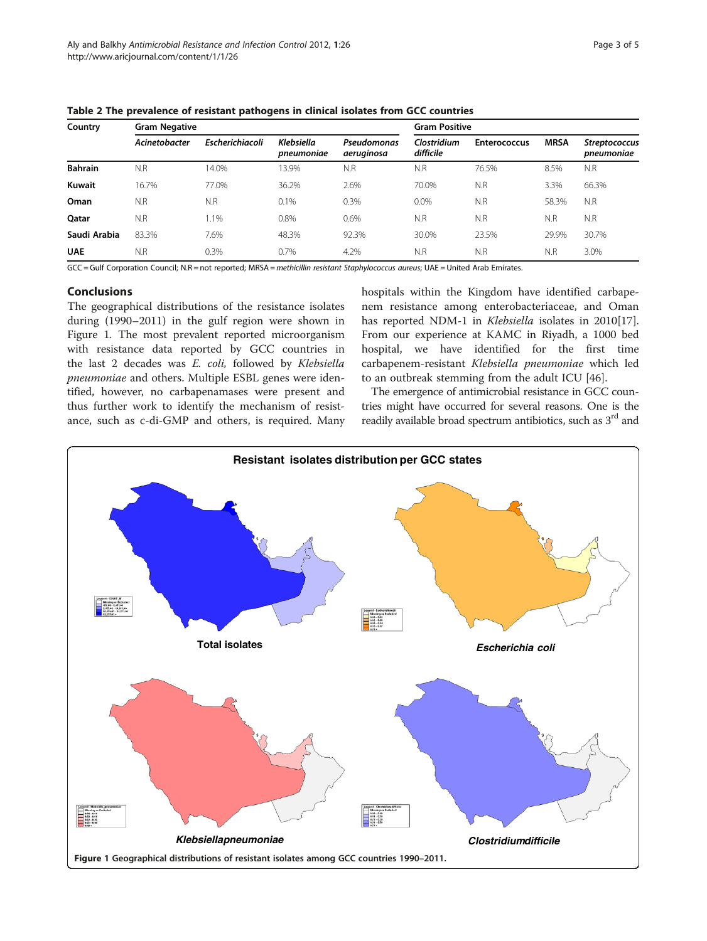| Country        | <b>Gram Negative</b> |                 | <b>Gram Positive</b>            |                           |                          |                     |             |                                    |
|----------------|----------------------|-----------------|---------------------------------|---------------------------|--------------------------|---------------------|-------------|------------------------------------|
|                | Acinetobacter        | Escherichiacoli | <b>Klebsiella</b><br>pneumoniae | Pseudomonas<br>aeruginosa | Clostridium<br>difficile | <b>Enterococcus</b> | <b>MRSA</b> | <b>Streptococcus</b><br>pneumoniae |
| <b>Bahrain</b> | N.R                  | 14.0%           | 13.9%                           | N.R                       | N.R                      | 76.5%               | 8.5%        | N.R                                |
| Kuwait         | 16.7%                | 77.0%           | 36.2%                           | 2.6%                      | 70.0%                    | N.R                 | 3.3%        | 66.3%                              |
| Oman           | N.R                  | N.R             | 0.1%                            | 0.3%                      | 0.0%                     | N.R                 | 58.3%       | N.R                                |
| Oatar          | N.R                  | 1.1%            | 0.8%                            | 0.6%                      | N.R                      | N.R                 | N.R         | N.R                                |
| Saudi Arabia   | 83.3%                | 7.6%            | 48.3%                           | 92.3%                     | 30.0%                    | 23.5%               | 29.9%       | 30.7%                              |
| <b>UAE</b>     | N.R                  | 0.3%            | 0.7%                            | 4.2%                      | N.R                      | N.R                 | N.R         | 3.0%                               |

<span id="page-2-0"></span>Table 2 The prevalence of resistant pathogens in clinical isolates from GCC countries

GCC = Gulf Corporation Council; N.R = not reported; MRSA = methicillin resistant Staphylococcus aureus; UAE = United Arab Emirates.

## Conclusions

The geographical distributions of the resistance isolates during (1990–2011) in the gulf region were shown in Figure 1. The most prevalent reported microorganism with resistance data reported by GCC countries in the last 2 decades was E. coli, followed by Klebsiella pneumoniae and others. Multiple ESBL genes were identified, however, no carbapenamases were present and thus further work to identify the mechanism of resistance, such as c-di-GMP and others, is required. Many hospitals within the Kingdom have identified carbapenem resistance among enterobacteriaceae, and Oman has reported NDM-1 in Klebsiella isolates in 2010[\[17](#page-3-0)]. From our experience at KAMC in Riyadh, a 1000 bed hospital, we have identified for the first time carbapenem-resistant Klebsiella pneumoniae which led to an outbreak stemming from the adult ICU [[46\]](#page-4-0).

The emergence of antimicrobial resistance in GCC countries might have occurred for several reasons. One is the readily available broad spectrum antibiotics, such as 3<sup>rd</sup> and

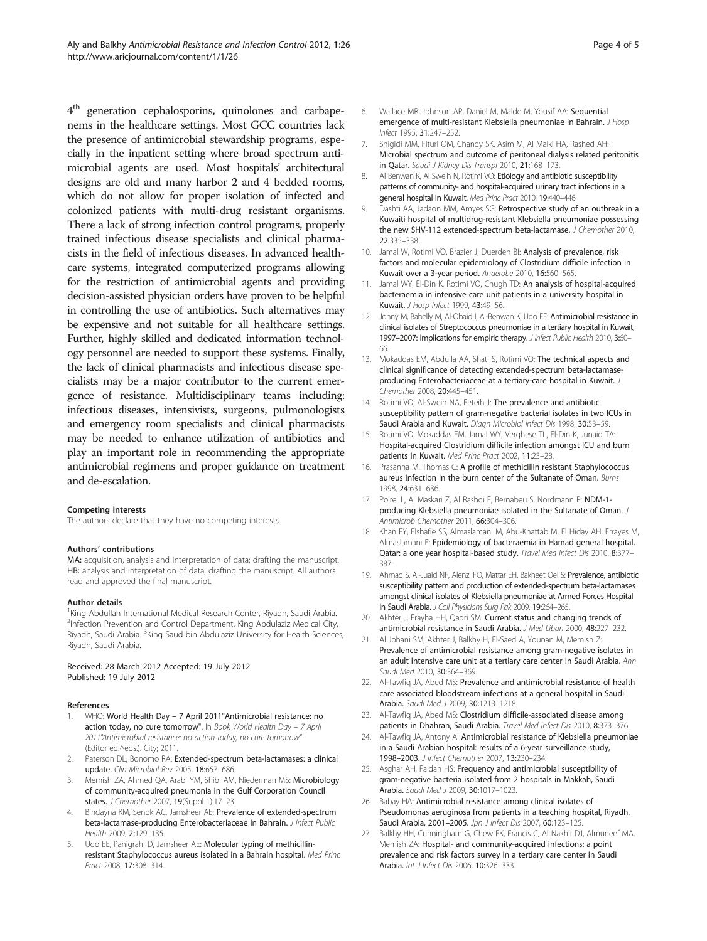<span id="page-3-0"></span> $4<sup>th</sup>$  generation cephalosporins, quinolones and carbapenems in the healthcare settings. Most GCC countries lack the presence of antimicrobial stewardship programs, especially in the inpatient setting where broad spectrum antimicrobial agents are used. Most hospitals' architectural designs are old and many harbor 2 and 4 bedded rooms, which do not allow for proper isolation of infected and colonized patients with multi-drug resistant organisms. There a lack of strong infection control programs, properly trained infectious disease specialists and clinical pharmacists in the field of infectious diseases. In advanced healthcare systems, integrated computerized programs allowing for the restriction of antimicrobial agents and providing decision-assisted physician orders have proven to be helpful in controlling the use of antibiotics. Such alternatives may be expensive and not suitable for all healthcare settings. Further, highly skilled and dedicated information technology personnel are needed to support these systems. Finally, the lack of clinical pharmacists and infectious disease specialists may be a major contributor to the current emergence of resistance. Multidisciplinary teams including: infectious diseases, intensivists, surgeons, pulmonologists and emergency room specialists and clinical pharmacists may be needed to enhance utilization of antibiotics and play an important role in recommending the appropriate antimicrobial regimens and proper guidance on treatment and de-escalation.

#### Competing interests

The authors declare that they have no competing interests.

#### Authors' contributions

MA: acquisition, analysis and interpretation of data; drafting the manuscript. HB: analysis and interpretation of data; drafting the manuscript. All authors read and approved the final manuscript.

#### Author details

<sup>1</sup>King Abdullah International Medical Research Center, Riyadh, Saudi Arabia. <sup>2</sup>Infection Prevention and Control Department, King Abdulaziz Medical City, Riyadh, Saudi Arabia. <sup>3</sup>King Saud bin Abdulaziz University for Health Sciences, Riyadh, Saudi Arabia.

Received: 28 March 2012 Accepted: 19 July 2012 Published: 19 July 2012

#### References

- 1. WHO: World Health Day 7 April 2011"Antimicrobial resistance: no action today, no cure tomorrow". In Book World Health Day - 7 April 2011"Antimicrobial resistance: no action today, no cure tomorrow" (Editor ed.^eds.). City; 2011.
- Paterson DL, Bonomo RA: Extended-spectrum beta-lactamases: a clinical update. Clin Microbiol Rev 2005, 18:657–686.
- 3. Memish ZA, Ahmed QA, Arabi YM, Shibl AM, Niederman MS: Microbiology of community-acquired pneumonia in the Gulf Corporation Council states. J Chemother 2007, 19(Suppl 1):17–23.
- Bindayna KM, Senok AC, Jamsheer AE: Prevalence of extended-spectrum beta-lactamase-producing Enterobacteriaceae in Bahrain. J Infect Public Health 2009, 2:129–135.
- Udo EE, Panigrahi D, Jamsheer AE: Molecular typing of methicillinresistant Staphylococcus aureus isolated in a Bahrain hospital. Med Princ Pract 2008, 17:308–314.
- 6. Wallace MR, Johnson AP, Daniel M, Malde M, Yousif AA: Sequential emergence of multi-resistant Klebsiella pneumoniae in Bahrain. J Hosp Infect 1995, 31:247–252.
- 7. Shigidi MM, Fituri OM, Chandy SK, Asim M, Al Malki HA, Rashed AH: Microbial spectrum and outcome of peritoneal dialysis related peritonitis in Qatar. Saudi J Kidney Dis Transpl 2010, 21:168–173.
- 8. Al Benwan K, Al Sweih N, Rotimi VO: Etiology and antibiotic susceptibility patterns of community- and hospital-acquired urinary tract infections in a general hospital in Kuwait. Med Princ Pract 2010, 19:440–446.
- 9. Dashti AA, Jadaon MM, Amyes SG: Retrospective study of an outbreak in a Kuwaiti hospital of multidrug-resistant Klebsiella pneumoniae possessing the new SHV-112 extended-spectrum beta-lactamase. J Chemother 2010, 22:335–338.
- 10. Jamal W, Rotimi VO, Brazier J, Duerden BI: Analysis of prevalence, risk factors and molecular epidemiology of Clostridium difficile infection in Kuwait over a 3-year period. Anaerobe 2010, 16:560–565.
- 11. Jamal WY, El-Din K, Rotimi VO, Chugh TD: An analysis of hospital-acquired bacteraemia in intensive care unit patients in a university hospital in Kuwait. J Hosp Infect 1999, 43:49–56.
- 12. Johny M, Babelly M, Al-Obaid I, Al-Benwan K, Udo EE: Antimicrobial resistance in clinical isolates of Streptococcus pneumoniae in a tertiary hospital in Kuwait, 1997–2007: implications for empiric therapy. J Infect Public Health 2010, 3:60-66.
- 13. Mokaddas EM, Abdulla AA, Shati S, Rotimi VO: The technical aspects and clinical significance of detecting extended-spectrum beta-lactamaseproducing Enterobacteriaceae at a tertiary-care hospital in Kuwait. J Chemother 2008, 20:445–451.
- 14. Rotimi VO, Al-Sweih NA, Feteih J: The prevalence and antibiotic susceptibility pattern of gram-negative bacterial isolates in two ICUs in Saudi Arabia and Kuwait. Diagn Microbiol Infect Dis 1998, 30:53–59.
- 15. Rotimi VO, Mokaddas EM, Jamal WY, Verghese TL, El-Din K, Junaid TA: Hospital-acquired Clostridium difficile infection amongst ICU and burn patients in Kuwait. Med Princ Pract 2002, 11:23–28.
- 16. Prasanna M, Thomas C: A profile of methicillin resistant Staphylococcus aureus infection in the burn center of the Sultanate of Oman. Burns 1998, 24:631–636.
- 17. Poirel L, Al Maskari Z, Al Rashdi F, Bernabeu S, Nordmann P: NDM-1 producing Klebsiella pneumoniae isolated in the Sultanate of Oman. J Antimicrob Chemother 2011, 66:304–306.
- 18. Khan FY, Elshafie SS, Almaslamani M, Abu-Khattab M, El Hiday AH, Errayes M, Almaslamani E: Epidemiology of bacteraemia in Hamad general hospital, Qatar: a one year hospital-based study. Travel Med Infect Dis 2010, 8:377-387.
- 19. Ahmad S, Al-Juaid NF, Alenzi FQ, Mattar EH, Bakheet Oel S: Prevalence, antibiotic susceptibility pattern and production of extended-spectrum beta-lactamases amongst clinical isolates of Klebsiella pneumoniae at Armed Forces Hospital in Saudi Arabia. J Coll Physicians Surg Pak 2009, 19:264-265.
- 20. Akhter J, Frayha HH, Qadri SM: Current status and changing trends of antimicrobial resistance in Saudi Arabia. J Med Liban 2000, 48:227–232.
- 21. Al Johani SM, Akhter J, Balkhy H, El-Saed A, Younan M, Memish Z: Prevalence of antimicrobial resistance among gram-negative isolates in an adult intensive care unit at a tertiary care center in Saudi Arabia. Ann Saudi Med 2010, 30:364–369.
- 22. Al-Tawfig JA, Abed MS: Prevalence and antimicrobial resistance of health care associated bloodstream infections at a general hospital in Saudi Arabia. Saudi Med J 2009, 30:1213–1218.
- 23. Al-Tawfiq JA, Abed MS: Clostridium difficile-associated disease among patients in Dhahran, Saudi Arabia. Travel Med Infect Dis 2010, 8:373–376.
- 24. Al-Tawfig JA, Antony A: Antimicrobial resistance of Klebsiella pneumoniae in a Saudi Arabian hospital: results of a 6-year surveillance study, 1998–2003. J Infect Chemother 2007, 13:230–234.
- 25. Asghar AH, Faidah HS: Frequency and antimicrobial susceptibility of gram-negative bacteria isolated from 2 hospitals in Makkah, Saudi Arabia. Saudi Med J 2009, 30:1017–1023.
- 26. Babay HA: Antimicrobial resistance among clinical isolates of Pseudomonas aeruginosa from patients in a teaching hospital, Riyadh, Saudi Arabia, 2001-2005. Jpn J Infect Dis 2007, 60:123-125.
- 27. Balkhy HH, Cunningham G, Chew FK, Francis C, Al Nakhli DJ, Almuneef MA, Memish ZA: Hospital- and community-acquired infections: a point prevalence and risk factors survey in a tertiary care center in Saudi Arabia. Int J Infect Dis 2006, 10:326–333.